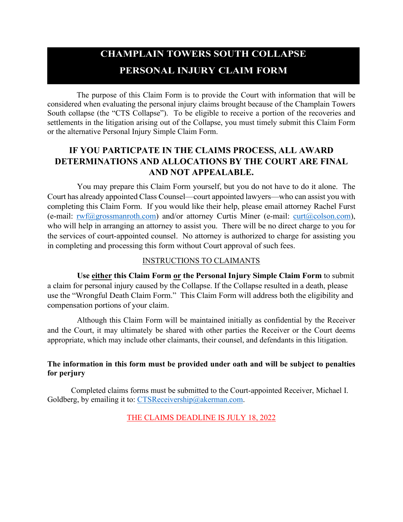# **CHAMPLAIN TOWERS SOUTH COLLAPSE PERSONAL INJURY CLAIM FORM**

The purpose of this Claim Form is to provide the Court with information that will be considered when evaluating the personal injury claims brought because of the Champlain Towers South collapse (the "CTS Collapse"). To be eligible to receive a portion of the recoveries and settlements in the litigation arising out of the Collapse, you must timely submit this Claim Form or the alternative Personal Injury Simple Claim Form.

## **IF YOU PARTICPATE IN THE CLAIMS PROCESS, ALL AWARD DETERMINATIONS AND ALLOCATIONS BY THE COURT ARE FINAL AND NOT APPEALABLE.**

You may prepare this Claim Form yourself, but you do not have to do it alone. The Court has already appointed Class Counsel—court appointed lawyers—who can assist you with completing this Claim Form. If you would like their help, please email attorney Rachel Furst (e-mail:  $rwf(\partial g)$ grossmanroth.com) and/or attorney Curtis Miner (e-mail: curt $(\partial g)$ colson.com), who will help in arranging an attorney to assist you. There will be no direct charge to you for the services of court-appointed counsel. No attorney is authorized to charge for assisting you in completing and processing this form without Court approval of such fees.

## INSTRUCTIONS TO CLAIMANTS

**Use either this Claim Form or the Personal Injury Simple Claim Form** to submit a claim for personal injury caused by the Collapse. If the Collapse resulted in a death, please use the "Wrongful Death Claim Form." This Claim Form will address both the eligibility and compensation portions of your claim.

Although this Claim Form will be maintained initially as confidential by the Receiver and the Court, it may ultimately be shared with other parties the Receiver or the Court deems appropriate, which may include other claimants, their counsel, and defendants in this litigation.

## **The information in this form must be provided under oath and will be subject to penalties for perjury**

Completed claims forms must be submitted to the Court-appointed Receiver, Michael I. Goldberg, by emailing it to: [CTSReceivership@akerman.com.](mailto:michael.goldberg@akerman.com)

## THE CLAIMS DEADLINE IS JULY 18, 2022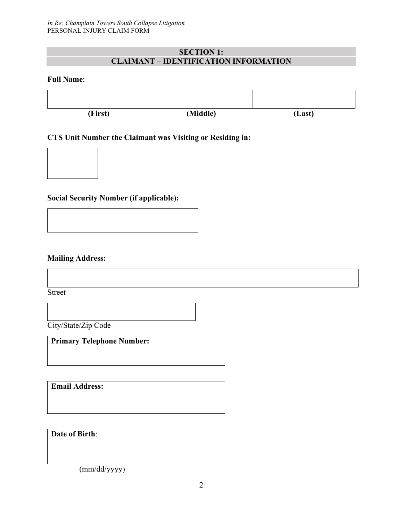## **SECTION 1: CLAIMANT – IDENTIFICATION INFORMATION**

#### **Full Name**:



#### **CTS Unit Number the Claimant was Visiting or Residing in:**

## **Social Security Number (if applicable):**

**Mailing Address:** 

Street

City/State/Zip Code

**Primary Telephone Number:**

**Email Address:**

**Date of Birth**:

(mm/dd/yyyy)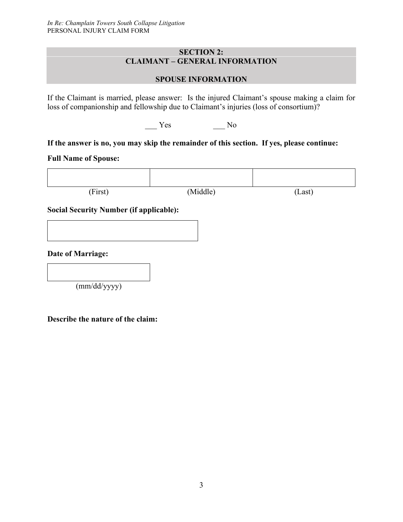### **SECTION 2: CLAIMANT – GENERAL INFORMATION**

## **SPOUSE INFORMATION**

If the Claimant is married, please answer: Is the injured Claimant's spouse making a claim for loss of companionship and fellowship due to Claimant's injuries (loss of consortium)?

\_\_\_ Yes \_\_\_ No

## **If the answer is no, you may skip the remainder of this section. If yes, please continue:**

## **Full Name of Spouse:**

(First) (Middle) (Last)

## **Social Security Number (if applicable):**

**Date of Marriage:** 

(mm/dd/yyyy)

**Describe the nature of the claim:**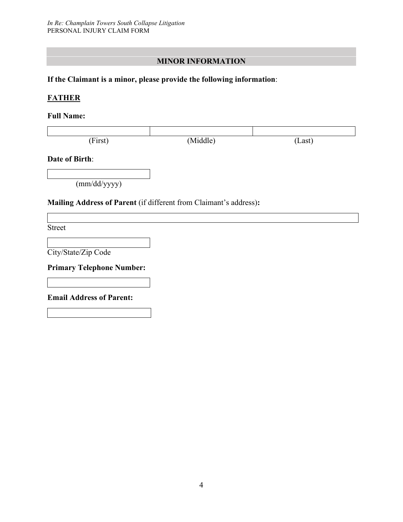## **MINOR INFORMATION**

## **If the Claimant is a minor, please provide the following information**:

## **FATHER**

#### **Full Name:**

| (First) | (Middle) | Last) |
|---------|----------|-------|

#### **Date of Birth**:

(mm/dd/yyyy)

## **Mailing Address of Parent** (if different from Claimant's address)**:**

Street

City/State/Zip Code

**Primary Telephone Number:** 

**Email Address of Parent:**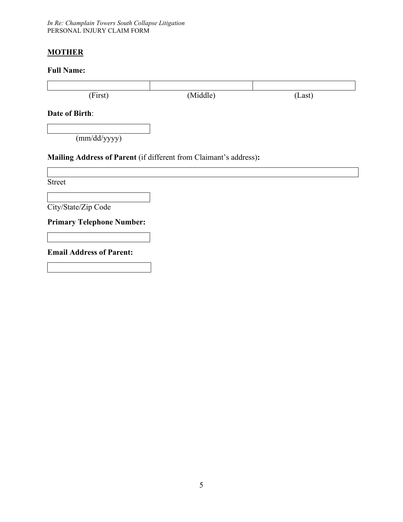*In Re: Champlain Towers South Collapse Litigation* PERSONAL INJURY CLAIM FORM

## **MOTHER**

## **Full Name:**

| (First)                                                           | (Middle) | (Last) |  |  |  |
|-------------------------------------------------------------------|----------|--------|--|--|--|
| Date of Birth:                                                    |          |        |  |  |  |
| (mm/dd/yyyy)                                                      |          |        |  |  |  |
| Mailing Address of Parent (if different from Claimant's address): |          |        |  |  |  |
|                                                                   |          |        |  |  |  |
| <b>Street</b>                                                     |          |        |  |  |  |
|                                                                   |          |        |  |  |  |
| City/State/Zip Code                                               |          |        |  |  |  |
| <b>Primary Telephone Number:</b>                                  |          |        |  |  |  |
|                                                                   |          |        |  |  |  |
| <b>Email Address of Parent:</b>                                   |          |        |  |  |  |
|                                                                   |          |        |  |  |  |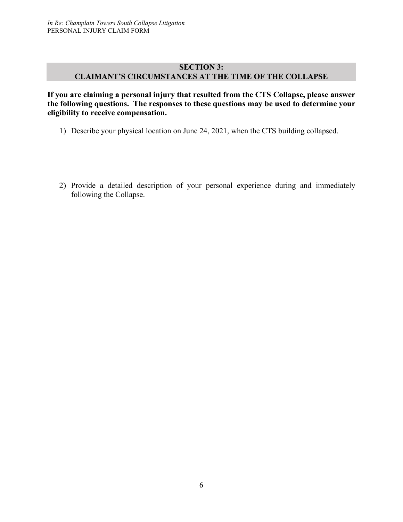## **SECTION 3: CLAIMANT'S CIRCUMSTANCES AT THE TIME OF THE COLLAPSE**

**If you are claiming a personal injury that resulted from the CTS Collapse, please answer the following questions. The responses to these questions may be used to determine your eligibility to receive compensation.**

- 1) Describe your physical location on June 24, 2021, when the CTS building collapsed.
- 2) Provide a detailed description of your personal experience during and immediately following the Collapse.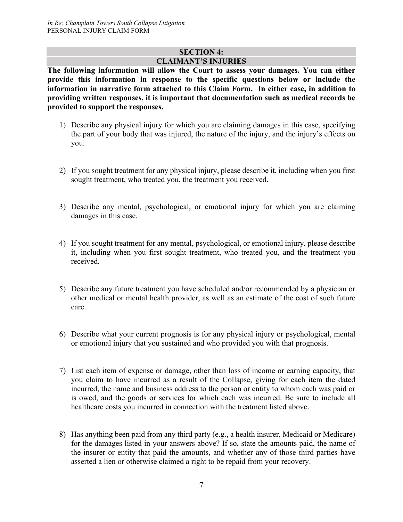## **SECTION 4: CLAIMANT'S INJURIES**

**The following information will allow the Court to assess your damages. You can either provide this information in response to the specific questions below or include the information in narrative form attached to this Claim Form. In either case, in addition to providing written responses, it is important that documentation such as medical records be provided to support the responses.** 

- 1) Describe any physical injury for which you are claiming damages in this case, specifying the part of your body that was injured, the nature of the injury, and the injury's effects on you.
- 2) If you sought treatment for any physical injury, please describe it, including when you first sought treatment, who treated you, the treatment you received.
- 3) Describe any mental, psychological, or emotional injury for which you are claiming damages in this case.
- 4) If you sought treatment for any mental, psychological, or emotional injury, please describe it, including when you first sought treatment, who treated you, and the treatment you received.
- 5) Describe any future treatment you have scheduled and/or recommended by a physician or other medical or mental health provider, as well as an estimate of the cost of such future care.
- 6) Describe what your current prognosis is for any physical injury or psychological, mental or emotional injury that you sustained and who provided you with that prognosis.
- 7) List each item of expense or damage, other than loss of income or earning capacity, that you claim to have incurred as a result of the Collapse, giving for each item the dated incurred, the name and business address to the person or entity to whom each was paid or is owed, and the goods or services for which each was incurred. Be sure to include all healthcare costs you incurred in connection with the treatment listed above.
- 8) Has anything been paid from any third party (e.g., a health insurer, Medicaid or Medicare) for the damages listed in your answers above? If so, state the amounts paid, the name of the insurer or entity that paid the amounts, and whether any of those third parties have asserted a lien or otherwise claimed a right to be repaid from your recovery.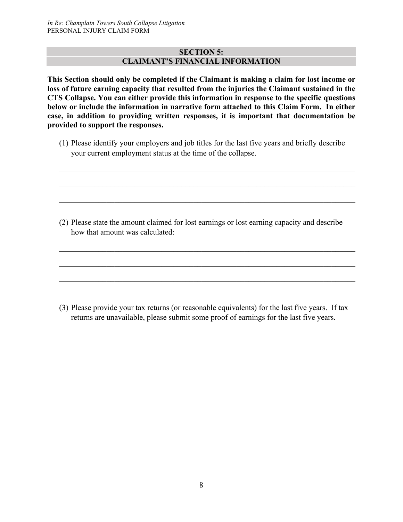#### **SECTION 5: CLAIMANT'S FINANCIAL INFORMATION**

**This Section should only be completed if the Claimant is making a claim for lost income or loss of future earning capacity that resulted from the injuries the Claimant sustained in the CTS Collapse. You can either provide this information in response to the specific questions below or include the information in narrative form attached to this Claim Form. In either case, in addition to providing written responses, it is important that documentation be provided to support the responses.**

(1) Please identify your employers and job titles for the last five years and briefly describe your current employment status at the time of the collapse.

 $\_$  , and the set of the set of the set of the set of the set of the set of the set of the set of the set of the set of the set of the set of the set of the set of the set of the set of the set of the set of the set of th

\_\_\_\_\_\_\_\_\_\_\_\_\_\_\_\_\_\_\_\_\_\_\_\_\_\_\_\_\_\_\_\_\_\_\_\_\_\_\_\_\_\_\_\_\_\_\_\_\_\_\_\_\_\_\_\_\_\_\_\_\_\_\_\_\_\_\_\_\_\_\_\_\_\_\_

\_\_\_\_\_\_\_\_\_\_\_\_\_\_\_\_\_\_\_\_\_\_\_\_\_\_\_\_\_\_\_\_\_\_\_\_\_\_\_\_\_\_\_\_\_\_\_\_\_\_\_\_\_\_\_\_\_\_\_\_\_\_\_\_\_\_\_\_\_\_\_\_\_\_\_

(2) Please state the amount claimed for lost earnings or lost earning capacity and describe how that amount was calculated:

(3) Please provide your tax returns (or reasonable equivalents) for the last five years. If tax returns are unavailable, please submit some proof of earnings for the last five years.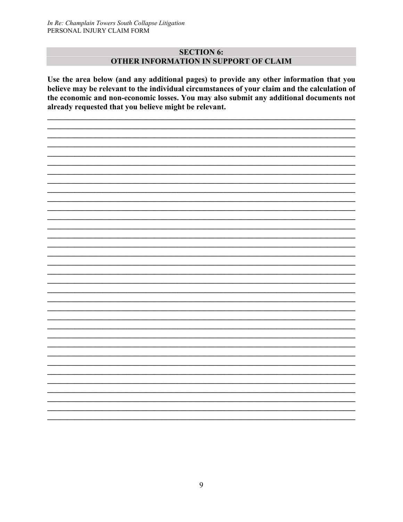#### **SECTION 6:** OTHER INFORMATION IN SUPPORT OF CLAIM

Use the area below (and any additional pages) to provide any other information that you believe may be relevant to the individual circumstances of your claim and the calculation of the economic and non-economic losses. You may also submit any additional documents not already requested that you believe might be relevant.